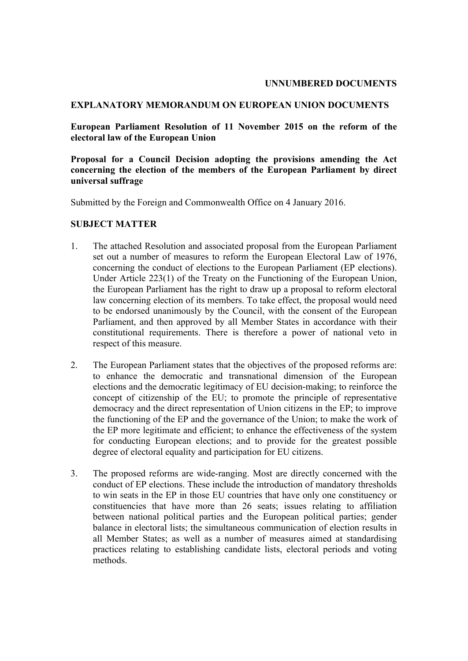#### **UNNUMBERED DOCUMENTS**

## **EXPLANATORY MEMORANDUM ON EUROPEAN UNION DOCUMENTS**

**European Parliament Resolution of 11 November 2015 on the reform of the electoral law of the European Union**

**Proposal for a Council Decision adopting the provisions amending the Act concerning the election of the members of the European Parliament by direct universal suffrage**

Submitted by the Foreign and Commonwealth Office on 4 January 2016.

#### **SUBJECT MATTER**

- 1. The attached Resolution and associated proposal from the European Parliament set out a number of measures to reform the European Electoral Law of 1976, concerning the conduct of elections to the European Parliament (EP elections). Under Article 223(1) of the Treaty on the Functioning of the European Union, the European Parliament has the right to draw up a proposal to reform electoral law concerning election of its members. To take effect, the proposal would need to be endorsed unanimously by the Council, with the consent of the European Parliament, and then approved by all Member States in accordance with their constitutional requirements. There is therefore a power of national veto in respect of this measure.
- 2. The European Parliament states that the objectives of the proposed reforms are: to enhance the democratic and transnational dimension of the European elections and the democratic legitimacy of EU decision-making; to reinforce the concept of citizenship of the EU; to promote the principle of representative democracy and the direct representation of Union citizens in the EP; to improve the functioning of the EP and the governance of the Union; to make the work of the EP more legitimate and efficient; to enhance the effectiveness of the system for conducting European elections; and to provide for the greatest possible degree of electoral equality and participation for EU citizens.
- 3. The proposed reforms are wide-ranging. Most are directly concerned with the conduct of EP elections. These include the introduction of mandatory thresholds to win seats in the EP in those EU countries that have only one constituency or constituencies that have more than 26 seats; issues relating to affiliation between national political parties and the European political parties; gender balance in electoral lists; the simultaneous communication of election results in all Member States; as well as a number of measures aimed at standardising practices relating to establishing candidate lists, electoral periods and voting methods.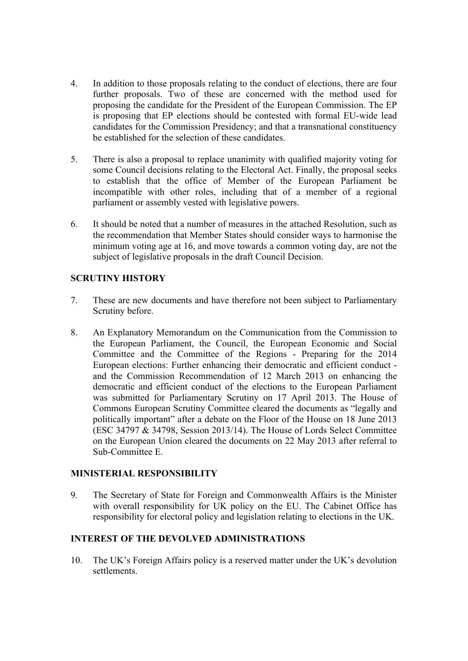- 4. In addition to those proposals relating to the conduct of elections, there are four further proposals. Two of these are concerned with the method used for proposing the candidate for the President of the European Commission. The EP is proposing that EP elections should be contested with formal EU-wide lead candidates for the Commission Presidency; and that a transnational constituency be established for the selection of these candidates.
- 5. There is also a proposal to replace unanimity with qualified majority voting for some Council decisions relating to the Electoral Act. Finally, the proposal seeks to establish that the office of Member of the European Parliament be incompatible with other roles, including that of a member of a regional parliament or assembly vested with legislative powers.
- 6. It should be noted that a number of measures in the attached Resolution, such as the recommendation that Member States should consider ways to harmonise the minimum voting age at 16, and move towards a common voting day, are not the subject of legislative proposals in the draft Council Decision.

# **SCRUTINY HISTORY**

- 7. These are new documents and have therefore not been subject to Parliamentary Scrutiny before.
- 8. An Explanatory Memorandum on the Communication from the Commission to the European Parliament, the Council, the European Economic and Social Committee and the Committee of the Regions - Preparing for the 2014 European elections: Further enhancing their democratic and efficient conduct and the Commission Recommendation of 12 March 2013 on enhancing the democratic and efficient conduct of the elections to the European Parliament was submitted for Parliamentary Scrutiny on 17 April 2013. The House of Commons European Scrutiny Committee cleared the documents as "legally and politically important" after a debate on the Floor of the House on 18 June 2013 (ESC 34797 & 34798, Session 2013/14). The House of Lords Select Committee on the European Union cleared the documents on 22 May 2013 after referral to Sub-Committee E.

#### **MINISTERIAL RESPONSIBILITY**

9. The Secretary of State for Foreign and Commonwealth Affairs is the Minister with overall responsibility for UK policy on the EU. The Cabinet Office has responsibility for electoral policy and legislation relating to elections in the UK.

# **INTEREST OF THE DEVOLVED ADMINISTRATIONS**

10. The UK's Foreign Affairs policy is a reserved matter under the UK's devolution settlements.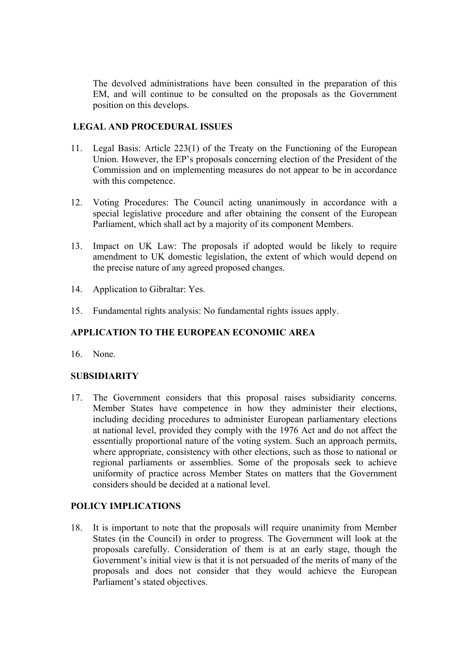The devolved administrations have been consulted in the preparation of this EM, and will continue to be consulted on the proposals as the Government position on this develops.

## **LEGAL AND PROCEDURAL ISSUES**

- 11. Legal Basis: Article 223(1) of the Treaty on the Functioning of the European Union. However, the EP's proposals concerning election of the President of the Commission and on implementing measures do not appear to be in accordance with this competence.
- 12. Voting Procedures: The Council acting unanimously in accordance with a special legislative procedure and after obtaining the consent of the European Parliament, which shall act by a majority of its component Members.
- 13. Impact on UK Law: The proposals if adopted would be likely to require amendment to UK domestic legislation, the extent of which would depend on the precise nature of any agreed proposed changes.
- 14. Application to Gibraltar: Yes.
- 15. Fundamental rights analysis: No fundamental rights issues apply.

# **APPLICATION TO THE EUROPEAN ECONOMIC AREA**

16. None.

#### **SUBSIDIARITY**

17. The Government considers that this proposal raises subsidiarity concerns. Member States have competence in how they administer their elections, including deciding procedures to administer European parliamentary elections at national level, provided they comply with the 1976 Act and do not affect the essentially proportional nature of the voting system. Such an approach permits, where appropriate, consistency with other elections, such as those to national or regional parliaments or assemblies. Some of the proposals seek to achieve uniformity of practice across Member States on matters that the Government considers should be decided at a national level.

#### **POLICY IMPLICATIONS**

18. It is important to note that the proposals will require unanimity from Member States (in the Council) in order to progress. The Government will look at the proposals carefully. Consideration of them is at an early stage, though the Government's initial view is that it is not persuaded of the merits of many of the proposals and does not consider that they would achieve the European Parliament's stated objectives.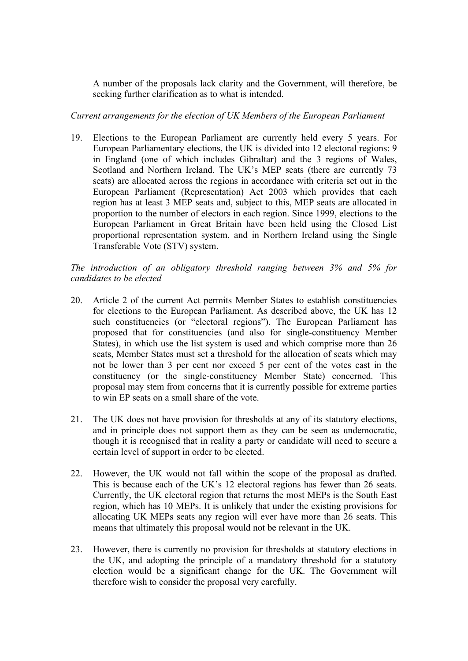A number of the proposals lack clarity and the Government, will therefore, be seeking further clarification as to what is intended.

*Current arrangements for the election of UK Members of the European Parliament*

19. Elections to the European Parliament are currently held every 5 years. For European Parliamentary elections, the UK is divided into 12 electoral regions: 9 in England (one of which includes Gibraltar) and the 3 regions of Wales, Scotland and Northern Ireland. The UK's MEP seats (there are currently 73 seats) are allocated across the regions in accordance with criteria set out in the European Parliament (Representation) Act 2003 which provides that each region has at least 3 MEP seats and, subject to this, MEP seats are allocated in proportion to the number of electors in each region. Since 1999, elections to the European Parliament in Great Britain have been held using the Closed List proportional representation system, and in Northern Ireland using the Single Transferable Vote (STV) system.

*The introduction of an obligatory threshold ranging between 3% and 5% for candidates to be elected*

- 20. Article 2 of the current Act permits Member States to establish constituencies for elections to the European Parliament. As described above, the UK has 12 such constituencies (or "electoral regions"). The European Parliament has proposed that for constituencies (and also for single-constituency Member States), in which use the list system is used and which comprise more than 26 seats, Member States must set a threshold for the allocation of seats which may not be lower than 3 per cent nor exceed 5 per cent of the votes cast in the constituency (or the single-constituency Member State) concerned. This proposal may stem from concerns that it is currently possible for extreme parties to win EP seats on a small share of the vote.
- 21. The UK does not have provision for thresholds at any of its statutory elections, and in principle does not support them as they can be seen as undemocratic, though it is recognised that in reality a party or candidate will need to secure a certain level of support in order to be elected.
- 22. However, the UK would not fall within the scope of the proposal as drafted. This is because each of the UK's 12 electoral regions has fewer than 26 seats. Currently, the UK electoral region that returns the most MEPs is the South East region, which has 10 MEPs. It is unlikely that under the existing provisions for allocating UK MEPs seats any region will ever have more than 26 seats. This means that ultimately this proposal would not be relevant in the UK.
- 23. However, there is currently no provision for thresholds at statutory elections in the UK, and adopting the principle of a mandatory threshold for a statutory election would be a significant change for the UK. The Government will therefore wish to consider the proposal very carefully.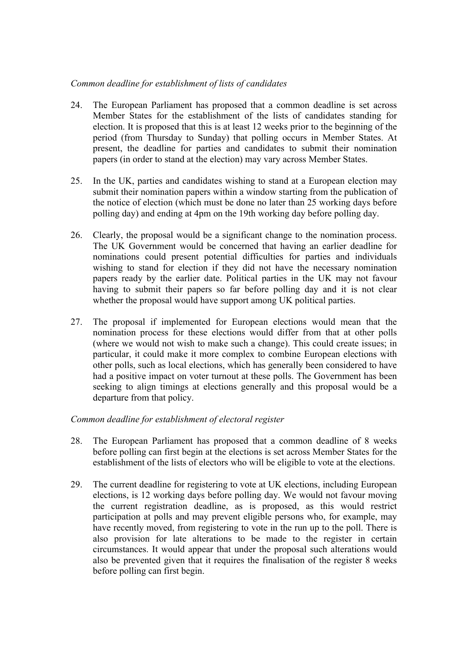## *Common deadline for establishment of lists of candidates*

- 24. The European Parliament has proposed that a common deadline is set across Member States for the establishment of the lists of candidates standing for election. It is proposed that this is at least 12 weeks prior to the beginning of the period (from Thursday to Sunday) that polling occurs in Member States. At present, the deadline for parties and candidates to submit their nomination papers (in order to stand at the election) may vary across Member States.
- 25. In the UK, parties and candidates wishing to stand at a European election may submit their nomination papers within a window starting from the publication of the notice of election (which must be done no later than 25 working days before polling day) and ending at 4pm on the 19th working day before polling day.
- 26. Clearly, the proposal would be a significant change to the nomination process. The UK Government would be concerned that having an earlier deadline for nominations could present potential difficulties for parties and individuals wishing to stand for election if they did not have the necessary nomination papers ready by the earlier date. Political parties in the UK may not favour having to submit their papers so far before polling day and it is not clear whether the proposal would have support among UK political parties.
- 27. The proposal if implemented for European elections would mean that the nomination process for these elections would differ from that at other polls (where we would not wish to make such a change). This could create issues; in particular, it could make it more complex to combine European elections with other polls, such as local elections, which has generally been considered to have had a positive impact on voter turnout at these polls. The Government has been seeking to align timings at elections generally and this proposal would be a departure from that policy.

*Common deadline for establishment of electoral register* 

- 28. The European Parliament has proposed that a common deadline of 8 weeks before polling can first begin at the elections is set across Member States for the establishment of the lists of electors who will be eligible to vote at the elections.
- 29. The current deadline for registering to vote at UK elections, including European elections, is 12 working days before polling day. We would not favour moving the current registration deadline, as is proposed, as this would restrict participation at polls and may prevent eligible persons who, for example, may have recently moved, from registering to vote in the run up to the poll. There is also provision for late alterations to be made to the register in certain circumstances. It would appear that under the proposal such alterations would also be prevented given that it requires the finalisation of the register 8 weeks before polling can first begin.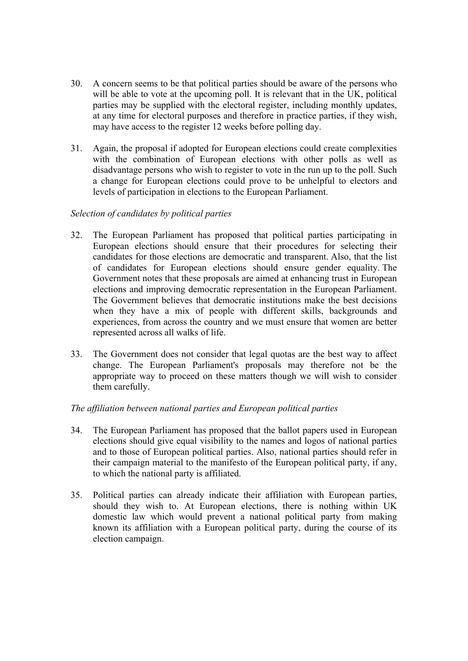- 30. A concern seems to be that political parties should be aware of the persons who will be able to vote at the upcoming poll. It is relevant that in the UK, political parties may be supplied with the electoral register, including monthly updates, at any time for electoral purposes and therefore in practice parties, if they wish, may have access to the register 12 weeks before polling day.
- 31. Again, the proposal if adopted for European elections could create complexities with the combination of European elections with other polls as well as disadvantage persons who wish to register to vote in the run up to the poll. Such a change for European elections could prove to be unhelpful to electors and levels of participation in elections to the European Parliament.

## *Selection of candidates by political parties*

- 32. The European Parliament has proposed that political parties participating in European elections should ensure that their procedures for selecting their candidates for those elections are democratic and transparent. Also, that the list of candidates for European elections should ensure gender equality. The Government notes that these proposals are aimed at enhancing trust in European elections and improving democratic representation in the European Parliament. The Government believes that democratic institutions make the best decisions when they have a mix of people with different skills, backgrounds and experiences, from across the country and we must ensure that women are better represented across all walks of life.
- 33. The Government does not consider that legal quotas are the best way to affect change. The European Parliament's proposals may therefore not be the appropriate way to proceed on these matters though we will wish to consider them carefully.

# *The affiliation between national parties and European political parties*

- 34. The European Parliament has proposed that the ballot papers used in European elections should give equal visibility to the names and logos of national parties and to those of European political parties. Also, national parties should refer in their campaign material to the manifesto of the European political party, if any, to which the national party is affiliated.
- 35. Political parties can already indicate their affiliation with European parties, should they wish to. At European elections, there is nothing within UK domestic law which would prevent a national political party from making known its affiliation with a European political party, during the course of its election campaign.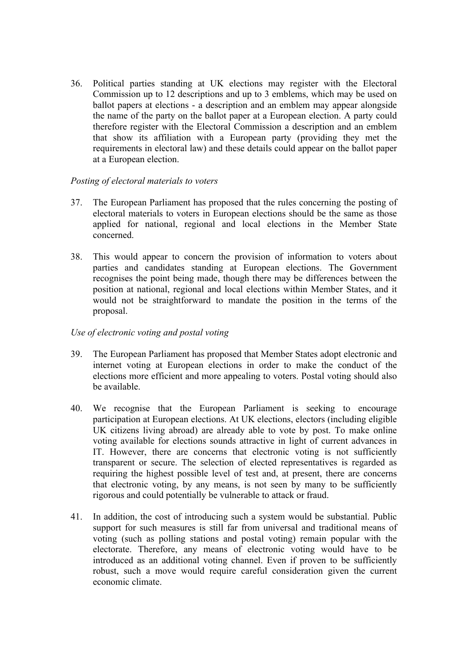36. Political parties standing at UK elections may register with the Electoral Commission up to 12 descriptions and up to 3 emblems, which may be used on ballot papers at elections - a description and an emblem may appear alongside the name of the party on the ballot paper at a European election. A party could therefore register with the Electoral Commission a description and an emblem that show its affiliation with a European party (providing they met the requirements in electoral law) and these details could appear on the ballot paper at a European election.

## *Posting of electoral materials to voters*

- 37. The European Parliament has proposed that the rules concerning the posting of electoral materials to voters in European elections should be the same as those applied for national, regional and local elections in the Member State concerned.
- 38. This would appear to concern the provision of information to voters about parties and candidates standing at European elections. The Government recognises the point being made, though there may be differences between the position at national, regional and local elections within Member States, and it would not be straightforward to mandate the position in the terms of the proposal.

#### *Use of electronic voting and postal voting*

- 39. The European Parliament has proposed that Member States adopt electronic and internet voting at European elections in order to make the conduct of the elections more efficient and more appealing to voters. Postal voting should also be available.
- 40. We recognise that the European Parliament is seeking to encourage participation at European elections. At UK elections, electors (including eligible UK citizens living abroad) are already able to vote by post. To make online voting available for elections sounds attractive in light of current advances in IT. However, there are concerns that electronic voting is not sufficiently transparent or secure. The selection of elected representatives is regarded as requiring the highest possible level of test and, at present, there are concerns that electronic voting, by any means, is not seen by many to be sufficiently rigorous and could potentially be vulnerable to attack or fraud.
- 41. In addition, the cost of introducing such a system would be substantial. Public support for such measures is still far from universal and traditional means of voting (such as polling stations and postal voting) remain popular with the electorate. Therefore, any means of electronic voting would have to be introduced as an additional voting channel. Even if proven to be sufficiently robust, such a move would require careful consideration given the current economic climate.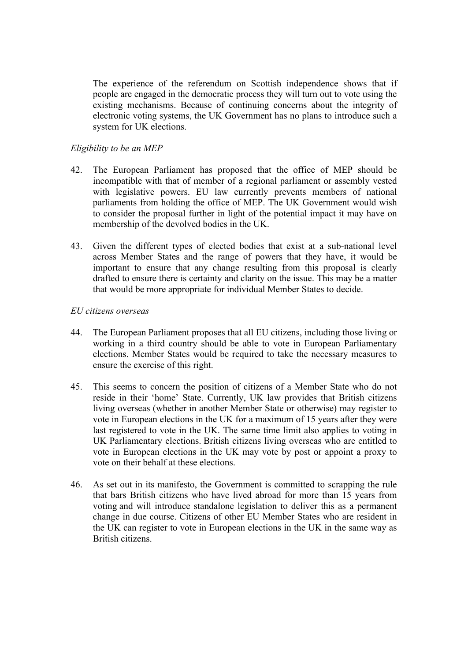The experience of the referendum on Scottish independence shows that if people are engaged in the democratic process they will turn out to vote using the existing mechanisms. Because of continuing concerns about the integrity of electronic voting systems, the UK Government has no plans to introduce such a system for UK elections.

# *Eligibility to be an MEP*

- 42. The European Parliament has proposed that the office of MEP should be incompatible with that of member of a regional parliament or assembly vested with legislative powers. EU law currently prevents members of national parliaments from holding the office of MEP. The UK Government would wish to consider the proposal further in light of the potential impact it may have on membership of the devolved bodies in the UK.
- 43. Given the different types of elected bodies that exist at a sub-national level across Member States and the range of powers that they have, it would be important to ensure that any change resulting from this proposal is clearly drafted to ensure there is certainty and clarity on the issue. This may be a matter that would be more appropriate for individual Member States to decide.

## *EU citizens overseas*

- 44. The European Parliament proposes that all EU citizens, including those living or working in a third country should be able to vote in European Parliamentary elections. Member States would be required to take the necessary measures to ensure the exercise of this right.
- 45. This seems to concern the position of citizens of a Member State who do not reside in their 'home' State. Currently, UK law provides that British citizens living overseas (whether in another Member State or otherwise) may register to vote in European elections in the UK for a maximum of 15 years after they were last registered to vote in the UK. The same time limit also applies to voting in UK Parliamentary elections. British citizens living overseas who are entitled to vote in European elections in the UK may vote by post or appoint a proxy to vote on their behalf at these elections.
- 46. As set out in its manifesto, the Government is committed to scrapping the rule that bars British citizens who have lived abroad for more than 15 years from voting and will introduce standalone legislation to deliver this as a permanent change in due course. Citizens of other EU Member States who are resident in the UK can register to vote in European elections in the UK in the same way as British citizens.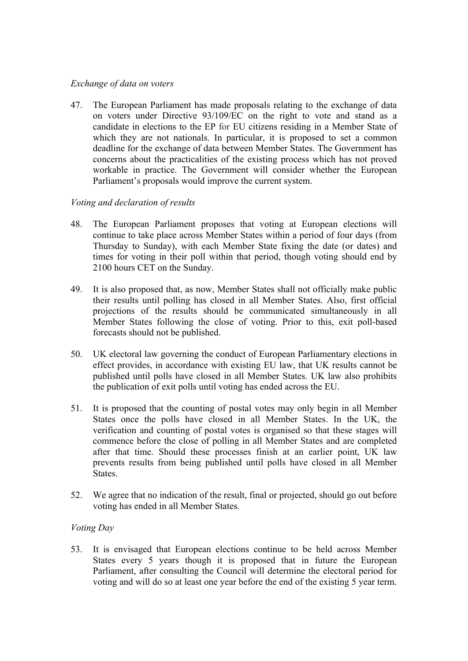### *Exchange of data on voters*

47. The European Parliament has made proposals relating to the exchange of data on voters under Directive 93/109/EC on the right to vote and stand as a candidate in elections to the EP for EU citizens residing in a Member State of which they are not nationals. In particular, it is proposed to set a common deadline for the exchange of data between Member States. The Government has concerns about the practicalities of the existing process which has not proved workable in practice. The Government will consider whether the European Parliament's proposals would improve the current system.

# *Voting and declaration of results*

- 48. The European Parliament proposes that voting at European elections will continue to take place across Member States within a period of four days (from Thursday to Sunday), with each Member State fixing the date (or dates) and times for voting in their poll within that period, though voting should end by 2100 hours CET on the Sunday.
- 49. It is also proposed that, as now, Member States shall not officially make public their results until polling has closed in all Member States. Also, first official projections of the results should be communicated simultaneously in all Member States following the close of voting. Prior to this, exit poll-based forecasts should not be published.
- 50. UK electoral law governing the conduct of European Parliamentary elections in effect provides, in accordance with existing EU law, that UK results cannot be published until polls have closed in all Member States. UK law also prohibits the publication of exit polls until voting has ended across the EU.
- 51. It is proposed that the counting of postal votes may only begin in all Member States once the polls have closed in all Member States. In the UK, the verification and counting of postal votes is organised so that these stages will commence before the close of polling in all Member States and are completed after that time. Should these processes finish at an earlier point, UK law prevents results from being published until polls have closed in all Member States.
- 52. We agree that no indication of the result, final or projected, should go out before voting has ended in all Member States.

# *Voting Day*

53. It is envisaged that European elections continue to be held across Member States every 5 years though it is proposed that in future the European Parliament, after consulting the Council will determine the electoral period for voting and will do so at least one year before the end of the existing 5 year term.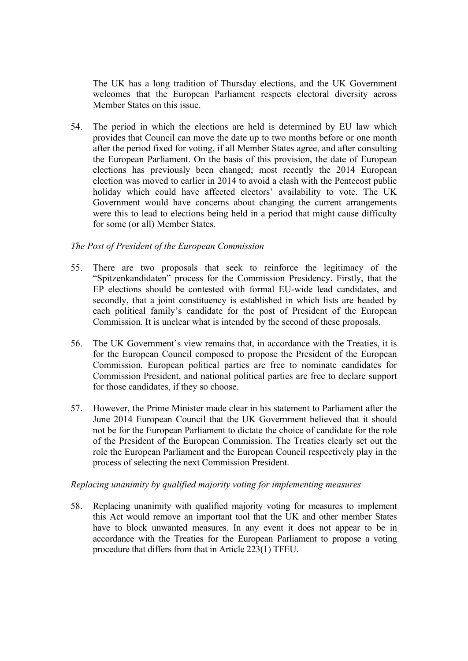The UK has a long tradition of Thursday elections, and the UK Government welcomes that the European Parliament respects electoral diversity across Member States on this issue.

54. The period in which the elections are held is determined by EU law which provides that Council can move the date up to two months before or one month after the period fixed for voting, if all Member States agree, and after consulting the European Parliament. On the basis of this provision, the date of European elections has previously been changed; most recently the 2014 European election was moved to earlier in 2014 to avoid a clash with the Pentecost public holiday which could have affected electors' availability to vote. The UK Government would have concerns about changing the current arrangements were this to lead to elections being held in a period that might cause difficulty for some (or all) Member States.

# *The Post of President of the European Commission*

- 55. There are two proposals that seek to reinforce the legitimacy of the "Spitzenkandidaten" process for the Commission Presidency. Firstly, that the EP elections should be contested with formal EU-wide lead candidates, and secondly, that a joint constituency is established in which lists are headed by each political family's candidate for the post of President of the European Commission. It is unclear what is intended by the second of these proposals.
- 56. The UK Government's view remains that, in accordance with the Treaties, it is for the European Council composed to propose the President of the European Commission. European political parties are free to nominate candidates for Commission President, and national political parties are free to declare support for those candidates, if they so choose.
- 57. However, the Prime Minister made clear in his statement to Parliament after the June 2014 European Council that the UK Government believed that it should not be for the European Parliament to dictate the choice of candidate for the role of the President of the European Commission. The Treaties clearly set out the role the European Parliament and the European Council respectively play in the process of selecting the next Commission President.

#### *Replacing unanimity by qualified majority voting for implementing measures*

58. Replacing unanimity with qualified majority voting for measures to implement this Act would remove an important tool that the UK and other member States have to block unwanted measures. In any event it does not appear to be in accordance with the Treaties for the European Parliament to propose a voting procedure that differs from that in Article 223(1) TFEU.